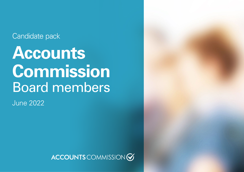### Candidate pack

# **Accounts Commission**  Board members

June 2022

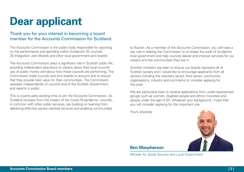### **Dear applicant**

#### Thank you for your interest in becoming a board member for the Accounts Commission for Scotland.

The Accounts Commission is the public body responsible for reporting on the performance and spending within Scotland's 32 councils, 30 Integration Joint Boards and other local government joint boards.

The Accounts Commission plays a significant role in Scottish public life, providing independent assurance to citizens about their local councils' use of public money and about how these councils are performing. The Commission holds councils and joint boards to account and to ensure that they provide best value for their communities. The Commission operates independently of councils and of the Scottish Government, and reports in public.

This is a particularly exciting time to join the Accounts Commission. As Scotland recovers from the impact of the Covid-19 pandemic, councils, in common with other public services, are building on learning from delivering effective person-centred services and enabling communities

to flourish. As a member of the Accounts Commission, you will have a key role in helping the Commission to re-shape the audit of Scotland's local government and help councils deliver and improve services for our citizens and the communities they live in.

Scottish ministers are keen to ensure our boards represent all of Scottish society and I would like to encourage applicants from all sectors including the voluntary sector, third sector, community organisations, industry and commerce to consider applying for this post.

We are particularly keen to receive applications from under-represented groups such as women, disabled people and ethnic minorities and people under the age of 50. Whatever your background, I hope that you will consider applying for this important role.

Yours sincerely,



#### **Ben Macpherson**

Minister for Social Security and Local Government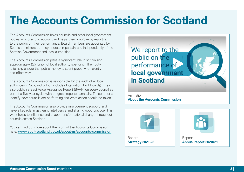### **The Accounts Commission for Scotland**

The Accounts Commission holds councils and other local government bodies in Scotland to account and helps them improve by reporting to the public on their performance. Board members are appointed by Scottish ministers but they operate impartially and independently of the Scottish Government and local authorities.

The Accounts Commission plays a significant role in scrutinising approximately £27 billion of local authority spending. Their duty is to help ensure that public money is spent properly, efficiently and effectively.

The Accounts Commission is responsible for the audit of all local authorities in Scotland (which includes Integration Joint Boards). They also publish a Best Value Assurance Report (BVAR) on every council as part of a five-year cycle, with progress reported annually. These reports identify how councils are performing and what action should be taken.

The Accounts Commission also provide improvement support, and have a key role in gathering intelligence and sharing good practice. This work helps to influence and shape transformational change throughout councils across Scotland.

You can find out more about the work of the Accounts Commission here: [www.audit-scotland.gov.uk/about-us/accounts-commission](http://www.audit-scotland.gov.uk/about-us/accounts-commission)



Animation: **[About the Accounts Commission](https://www.youtube.com/watch?v=2iUDY4Sikhc)**



Report: **[Annual report 2020/21](https://www.audit-scotland.gov.uk/uploads/docs/report/2021/as_annual_report_2021.pdf)**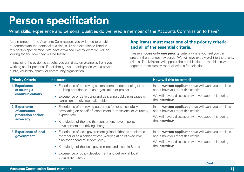### <span id="page-3-0"></span>**Person specification**

What skills, experience and personal qualities do we need a member of the Accounts Commission to have?

As a member of the Accounts Commission, you will need to be able to demonstrate the personal qualities, skills and experience listed in this person specification. We have explained exactly what we will be looking for and how they will be tested.

In providing the evidence sought, you can draw on examples from your working and/or personal life, or through your participation with a private, public, voluntary, charity or community organisation.

#### **Applicants must meet one of the priority criteria and all of the essential criteria.**

Please **choose only one priority** criteria where you feel you can present the strongest evidence. We will give extra weight to the priority criteria. The Minister will appoint the combination of candidates who together most closely meet all criteria for selection.

| <b>Priority Criteria</b>                                      | <b>Indicators</b>                                                                                                                                                 | How will this be tested?                                                                    |
|---------------------------------------------------------------|-------------------------------------------------------------------------------------------------------------------------------------------------------------------|---------------------------------------------------------------------------------------------|
| 1. Experience<br>of strategic<br><b>communications</b>        | Experience of improving stakeholders' understanding of, and<br>$\bullet$<br>building confidence, in an organisation or project.                                   | In the written application we will want you to tell us<br>about how you meet this criteria. |
|                                                               | Experience of developing and delivering public messages or<br>campaigns to diverse stakeholders.                                                                  | We will have a discussion with you about this during<br>the <b>interview</b> .              |
| 2. Experience<br>of consumer<br>protection and/or<br>advocacy | • Experience of improving outcomes for, or successfully<br>advocating on behalf of, consumers (professional or voluntary<br>experience).                          | In the written application we will want you to tell us<br>about how you meet this criteria. |
|                                                               |                                                                                                                                                                   | We will have a discussion with you about this during<br>the <b>interview.</b>               |
|                                                               | Knowledge of the role that consumers have in policy<br>$\bullet$<br>development and driving change.                                                               |                                                                                             |
| 3. Experience of local<br>government                          | • Experience of local government gained either as an elected<br>member or as a senior officer (working at chief executive,<br>director or head of service level). | In the written application we will want you to tell us<br>about how you meet this criteria. |
|                                                               |                                                                                                                                                                   | We will have a discussion with you about this during<br>the <b>interview</b> .              |
|                                                               | • Knowledge of the local government landscape in Scotland.                                                                                                        |                                                                                             |
|                                                               | • Experience of policy development and delivery at local<br>government level.                                                                                     |                                                                                             |

**Cont. Cont.**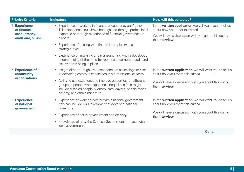| <b>Priority Criteria</b>                                                 | <b>Indicators</b>                                                                                                                                                                                                                       | How will this be tested?                                                                    |
|--------------------------------------------------------------------------|-----------------------------------------------------------------------------------------------------------------------------------------------------------------------------------------------------------------------------------------|---------------------------------------------------------------------------------------------|
| <b>4. Experience</b><br>of finance,<br>accountancy,<br>audit and/or risk | • Experience of working in finance, accountancy and/or risk.<br>This experience could have been gained through professional<br>expertise or through experience of financial governance on<br>a board.                                   | In the written application we will want you to tell us<br>about how you meet this criteria. |
|                                                                          |                                                                                                                                                                                                                                         | We will have a discussion with you about this during<br>the <b>interview</b> .              |
|                                                                          | Experience of dealing with financial complexity at a<br>strategic level.                                                                                                                                                                |                                                                                             |
|                                                                          | Experience of analysing and managing risk, with a developed<br>understanding of the need for robust and compliant audit and<br>risk systems being in place.                                                                             |                                                                                             |
| <b>5. Experience of</b><br>community<br>organisations                    | • Insight either through lived experience of accessing services<br>or delivering community services in a professional capacity.                                                                                                         | In the written application we will want you to tell us<br>about how you meet this criteria. |
|                                                                          | Ability to use experience to improve outcomes for different<br>$\bullet$<br>groups of people who experience inequalities (this might<br>include disabled people, women, care leavers, people facing<br>poverty, and ethnic minorities). | We will have a discussion with you about this during<br>the <b>interview</b> .              |
| <b>6. Experience</b><br>of national<br>government                        | Experience of working with or within national government<br>$\bullet$<br>(this can include UK Government or devolved national<br>government).                                                                                           | In the written application we will want you to tell us<br>about how you meet this criteria. |
|                                                                          | Experience of policy development and delivery.<br>$\bullet$                                                                                                                                                                             | We will have a discussion with you about this during<br>the interview.                      |
|                                                                          | Knowledge of how the Scottish Government interacts with<br>local government.                                                                                                                                                            |                                                                                             |
|                                                                          |                                                                                                                                                                                                                                         | $P_{\text{right}}$                                                                          |

**Cont.**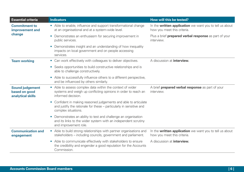| <b>Essential criteria</b>                                    | <b>Indicators</b>                                                                                                                                                         | How will this be tested?                                                                      |
|--------------------------------------------------------------|---------------------------------------------------------------------------------------------------------------------------------------------------------------------------|-----------------------------------------------------------------------------------------------|
| <b>Commitment to</b><br>improvement and<br>change            | • Able to enable, influence and support transformational change<br>at an organisational and at a system-wide level.                                                       | In the <b>written application</b> we want you to tell us about<br>how you meet this criteria. |
|                                                              | Demonstrates an enthusiasm for securing improvement in<br>$\bullet$<br>public services.                                                                                   | Plus a brief <b>prepared verbal response</b> as part of your<br>interview.                    |
|                                                              | Demonstrates insight and an understanding of how inequality<br>$\bullet$<br>impacts on local government and on people accessing<br>services.                              |                                                                                               |
| <b>Team working</b>                                          | Can work effectively with colleagues to deliver objectives.<br>$\bullet$                                                                                                  | A discussion at <b>interview.</b>                                                             |
|                                                              | Seeks opportunities to build constructive relationships and is<br>$\bullet$<br>able to challenge constructively.                                                          |                                                                                               |
|                                                              | • Able to successfully influence others to a different perspective,<br>and be influenced by others similarly.                                                             |                                                                                               |
| <b>Sound judgement</b><br>based on good<br>analytical skills | • Able to assess complex data within the context of wider<br>systems and weigh up conflicting opinions in order to reach an<br>informed decision.                         | A brief <b>prepared verbal response</b> as part of your<br>interview.                         |
|                                                              | Confident in making reasoned judgements and able to articulate<br>$\bullet$<br>and justify the rationale for these - particularly in sensitive and<br>complex situations. |                                                                                               |
|                                                              | Demonstrates an ability to test and challenge an organisation<br>$\bullet$<br>and its links to the wider system with an independent scrutiny<br>and improvement role.     |                                                                                               |
| <b>Communication and</b><br>engagement                       | • Able to build strong relationships with partner organisations and<br>stakeholders – including councils, government and parliament.                                      | In the <b>written application</b> we want you to tell us about<br>how you meet this criteria. |
|                                                              | Able to communicate effectively with stakeholders to ensure<br>$\bullet$<br>the credibility and engender a good reputation for the Accounts<br>Commission.                | A discussion at <b>interview.</b>                                                             |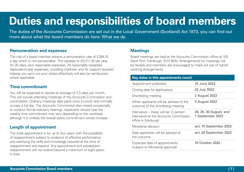### **Duties and responsibilities of board members**

The duties of the Accounts Commission are set out in the Local Government (Scotland) Act 1973, you can find out more about what the board members do here: [What we do](https://www.audit-scotland.gov.uk/about/docs/ac_role_duties_powers.pdf)

#### **Remuneration and expenses**

The role of a board member attracts a remuneration rate of £298.15 a day which is non-pensionable. This equates to £8,211.30 per year for 30 days, plus reasonable expenses. All reasonable receipted dependant-carer expenses, including childcare, and for support required helping you carry out your duties effectively will also be reimbursed, where applicable.

#### **Time commitment**

You will be expected to devote an average of 2.5 days per month. This will include attending meetings of the Accounts Commission and committees. Ordinary meetings take place once a month and normally occupy a full day. The Accounts Commission also meets occasionally to conduct formal statutory hearings. Applicants should note the weekly time commitment may vary depending on the workload, although it is unlikely the overall yearly commitment would increase.

#### **Length of appointment**

The initial appointment is for up to four years with the possibility of reappointment subject to evidence of effective performance and satisfying the skills and knowledge required at the time of reappointment and beyond. Any appointment and subsequent reappointment will not extend beyond a maximum of eight years, in total.

#### **Meetings**

Board meetings are held at the Accounts Commission office at 102 West Port, Edinburgh, EH3 9DN. Arrangements for meetings will be flexible and members are encouraged to make full use of hybrid working arrangements.

| Key dates in this appointments round                                                                   |                                            |  |  |
|--------------------------------------------------------------------------------------------------------|--------------------------------------------|--|--|
| Appointment publicised                                                                                 | 10 June 2022                               |  |  |
| Closing date for applications                                                                          | 22 July 2022                               |  |  |
| Shortlisting meeting                                                                                   | 2 August 2022                              |  |  |
| When applicants will be advised of the<br>outcome of the shortlisting meeting                          | 3 August 2022                              |  |  |
| Interviews – these will be 'in person'<br>interviews at the Accounts Commission<br>office in Edinburgh | 26, 29, 30 August, and<br>1 September 2022 |  |  |
| Ministerial decision                                                                                   | w/c 19 September 2022                      |  |  |
| Date applicants will be advised of<br>the outcome                                                      | w/c 26 September 2022                      |  |  |
| Expected date of appointments<br>(subject to Ministerial approval)                                     | <b>10 October 2022</b>                     |  |  |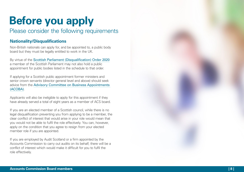# **Before you apply**

### Please consider the following requirements

#### **Nationality/Disqualifications**

Non-British nationals can apply for, and be appointed to, a public body board but they must be legally entitled to work in the UK.

By virtue of the [Scottish Parliament \(Disqualification\) Order 2020](https://www.legislation.gov.uk/sdsi/2020/9780111046029) a member of the Scottish Parliament may not also hold a public appointment for public bodies listed in the schedule to that order.

If applying for a Scottish public appointment former ministers and senior crown servants (director general level and above) should seek advice from the [Advisory Committee on Business Appointments](https://www.gov.uk/guidance/new-business-appointments-for-senior-public-servants)  [\(ACOBA\)](https://www.gov.uk/guidance/new-business-appointments-for-senior-public-servants) .

Applicants will also be ineligible to apply for this appointment if they have already served a total of eight years as a member of ACS board.

If you are an elected member of a Scottish council, while there is no legal disqualification preventing you from applying to be a member, the clear conflict of interest that would arise in your role would mean that you would not be able to fulfil the role effectively. You can, however, apply on the condition that you agree to resign from your elected member role if you are appointed.

If you are employed by Audit Scotland or a firm appointed by the Accounts Commission to carry out audits on its behalf, there will be a conflict of interest which would make it difficult for you to fulfil the role effectively.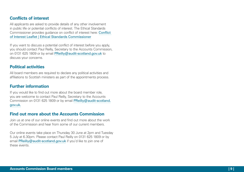#### **Conflicts of interest**

All applicants are asked to provide details of any other involvement in public life or potential conflicts of interest. The Ethical Standards Commissioner provides guidance on conflict of interest here: [Conflict](https://www.ethicalstandards.org.uk/publication/conflict-interest-leaflet)  [of Interest Leaflet | Ethical Standards Commissioner](https://www.ethicalstandards.org.uk/publication/conflict-interest-leaflet)

If you want to discuss a potential conflict of interest before you apply, you should contact Paul Reilly, Secretary to the Accounts Commission, on 0131 625 1809 or by email [PReilly@audit-scotland.gov.uk](mailto:PReilly@audit-scotland.gov.uk) to discuss your concerns.

#### **Political activities**

All board members are required to declare any political activities and affiliations to Scottish ministers as part of the appointments process.

#### **Further information**

If you would like to find out more about the board member role, you are welcome to contact Paul Reilly, Secretary to the Accounts Commission on 0131 625 1809 or by email [PReilly@audit-scotland.](mailto:PReilly@audit-scotland.gov.uk) [gov.uk](mailto:PReilly@audit-scotland.gov.uk) .

#### **Find out more about the Accounts Commission**

Join us at one of our online events and find out more about the work of the Commission and hear from some of our current members.

Our online events take place on Thursday 30 June at 2pm and Tuesday 5 July at 6.30pm. Please contact Paul Reilly on 0131 625 1809 or by email [PReilly@audit-scotland.gov.uk](mailto:PReilly@audit-scotland.gov.uk) if you'd like to join one of these events.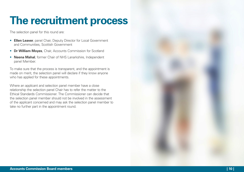### **The recruitment process**

The selection panel for this round are:

- **Ellen Leaver**, panel Chair, Deputy Director for Local Government and Communities, Scottish Government
- **Dr William Moyes**, Chair, Accounts Commission for Scotland
- **Neena Mahal**, former Chair of NHS Lanarkshire, Independent panel Member.

To make sure that the process is transparent, and the appointment is made on merit, the selection panel will declare if they know anyone who has applied for these appointments.

Where an applicant and selection panel member have a close relationship the selection panel Chair has to refer the matter to the Ethical Standards Commissioner. The Commissioner can decide that the selection panel member should not be involved in the assessment of the applicant concerned and may ask the selection panel member to take no further part in the appointment round.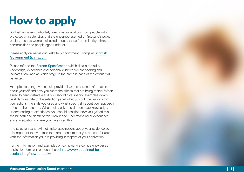# **How to apply**

Scottish ministers particularly welcome applications from people with protected characteristics that are under-represented on Scotland's public bodies, such as women, disabled people, those from minority ethnic communities and people aged under 50.

Please apply online via our website: [Appointment Listings at](https://pa-scottishgovernment.icims.com/jobs/search?hashed=-625948220&mobile=false&width=1140&height=500&bga=true&needsRedirect=false&jan1offset=0&jun1offset=60) Scottish [Government \(icims.com](https://pa-scottishgovernment.icims.com/jobs/search?hashed=-625948220&mobile=false&width=1140&height=500&bga=true&needsRedirect=false&jan1offset=0&jun1offset=60) )

Please refer to the **[Person Specification](#page-3-0)** which details the skills, knowledge, experience and personal qualities we are seeking and indicates how and at which stage in the process each of the criteria will be tested.

At application stage you should provide clear and succinct information about yourself and how you meet the criteria that are being tested. When asked to demonstrate a skill, you should give specific examples which best demonstrate to the selection panel what you did, the reasons for your actions, the skills you used and what specifically about your approach affected the outcome. When being asked to demonstrate knowledge, understanding or experience, you should describe how you gained this, the breadth and depth of this knowledge, understanding or experience and any situations where you have used this.

The selection panel will not make assumptions about your evidence so it is important that you take the time to ensure that you are comfortable with the information you are providing in respect of your application.

Further information and examples on completing a competency based application form can be found here: [http://www.appointed-for](http://www.appointed-for-scotland.org/how-to-apply/)[scotland.org/how-to-apply/](http://www.appointed-for-scotland.org/how-to-apply/)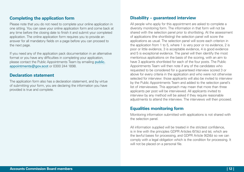#### **Completing the application form**

Please note that you do not need to complete your online application in one sitting. You can save your online application form and come back at any time before the closing date to finish it and submit your completed application. The online application form requires you to provide an answer for all mandatory fields on a page before you can proceed to the next page.

If you need any of the application pack documentation in an alternative format or you have any difficulties in completing your application, please contact the Public Appointments Team by emailing [public.](public.appointments@gov.scot) [appointments@gov.scot](public.appointments@gov.scot) or 0300 244 1898.

#### **Declaration statement**

The application form also has a declaration statement, and by virtue of submitting your form, you are declaring the information you have provided is true and complete.

#### **Disability – guaranteed interview**

All people who apply for this appointment are asked to complete a diversity monitoring form. The information in that form will not be shared with the selection panel prior to shortlisting. At the assessment of applications (the shortlisting) the selection panel will score the applications as usual. The selection panel will score each criterion in the application from 1 to 5, where 1 is very poor or no evidence, 2 is poor or little evidence, 3 is acceptable evidence, 4 is good evidence and 5 is exceptional evidence. The panel will then identify the most meritorious applications on the basis of the scoring, with an aim to have 3 applicants shortlisted for each of the four posts. The Public Appointments Team will then note if any of the candidates who requested to be considered for a guaranteed interview scored 3 or above for every criteria in the application and who were not otherwise selected for interview: those applicants will also be invited to interview by the Public Appointments Team and added to the selection panel's list of interviewees. This approach may mean that more than three applicants per post will be interviewed. All applicants invited to interview by any method will be asked if they require reasonable adjustments to attend the interview. The interviews will then proceed.

#### **Equalities monitoring form**

Monitoring information submitted with applications is not shared with the selection panel.

All information supplied will be treated in the strictest confidence, is in line with the principles GDPR Articles 6(1)(c) and (e), which are the lawful bases for processing, and GDPR Article 9(2)(b) so we can comply with a legal obligation which is the condition for processing. It will not be placed on a personal file.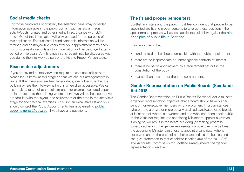#### **Social media checks**

For those candidates shortlisted, the selection panel may consider information available in the public domain such as social media activity/posts, printed and other media. In accordance with GDPR article 6(1)(e) this information will only be used for the purpose of this application. For successful candidates this information will be retained and destroyed five years after your appointment term ends. For unsuccessful candidates this information will be destroyed after a period of five years. Any findings in this regard may be discussed with you during the interview as part of the Fit and Proper Person tests.

#### **Reasonable adjustments**

If you are invited to interview and require a reasonable adjustment, please let us know at this stage so that we can put arrangements in place. If the interviews are held face-to-face, we will ensure that the building where the interview is held is wheelchair accessible. We can also make a range of other adjustments, for example coloured paper, an introduction to the building where interviews will be held so that you are familiar with the layout, and adjustment of the time in the interview stage for any practical exercises. This isn't an exhaustive list and you should contact the Public Appointments Team by emailing public. appointments@gov.scot if you have any questions.

#### **The fit and proper person test**

Scottish ministers and the public must feel confident that people to be appointed are fit and proper persons to take up these positions. The appointments process will assess applicants suitability against the [nine](https://www.ethicalstandards.org.uk/publication/code-practice#annex-one-%E2%80%93-the-principles-of-public-life-in-scotland)  [principles of public life in Scotland](https://www.ethicalstandards.org.uk/publication/code-practice#annex-one-%E2%80%93-the-principles-of-public-life-in-scotland).

It will also check that:

- conduct to date has been compatible with the public appointment
- there are no inappropriate or unmanageable conflicts of interest
- there is no bar to appointment by a requirement set out in the constitution of the body
- that applicants can meet the time commitment.

#### **Gender Representation on Public Boards (Scotland) Act 2018**

The Gender Representation on Public Boards (Scotland) Act 2018 sets a 'gender representation objective' that a board should have 50 per cent of non-executive members who are women. In circumstances where there are two or more equally qualified candidates (a tie break), at least one of whom is a woman and one who isn't, then section 4(3) of the 2018 Act requires the appointing Minister to appoint a woman if doing so will result in the board achieving (or making progress towards achieving) the gender representation objective. In a tie break the appointing Minister can chose to appoint a candidate, who is not a woman, on the basis of another characteristic or situation and can give preference to that candidate (section 4(4) of the 2018 Act). The Accounts Commission for Scotland already meets the 'gender representation objective'.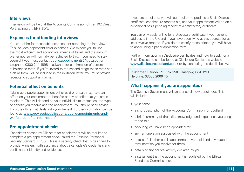#### **Interviews**

Interviews will be held at the Accounts Commission office, 102 West Port, Edinburgh, EH3 9DN.

#### **Expenses for attending interviews**

You can claim for reasonable expenses for attending the interview. This includes dependant carer expenses. We expect you to use the most efficient and economical means of travel, and the amount we reimburse will normally be restricted to this. If you need to stay overnight you must contact public.appointments@gov.scot or telephone 0300 244 1898 in advance for confirmation of current subsistence rates. If you're invited to the second stage these rates and a claim form, will be included in the invitation letter. You must provide receipts to support all claims.

#### **Potential effect on benefits**

Taking up a public appointment either paid or unpaid may have an effect on your entitlement to benefits or any benefits that you are in receipt of. This will depend on your individual circumstances, the type of benefit you receive and the appointment. You should seek advice from the office that deals with your benefit. Further information can be found at: [www.gov.scot/publications/public-appointments-and](http://www.gov.scot/publications/public-appointments-and-welfare-benefits-information/)[welfare-benefits-information](http://www.gov.scot/publications/public-appointments-and-welfare-benefits-information/)/

#### **Pre-appointment checks**

Candidates chosen by Ministers for appointment will be required to complete a pre-appointment check called the Baseline Personnel Security Standard (BPSS). This is a security check that is designed to provide Ministers' with assurance about a candidate's credentials and confirm their identity and residence.

If you are appointed, you will be required to produce a Basic Disclosure certificate less than 12 months old, and your appointment will be on a conditional basis pending receipt of a satisfactory certificate.

You can only apply online for a Disclosure certificate if your current address is in the UK and if you have been living at this address for at least twelve months. If you do not satisfy these criteria, you will have to apply using a paper application form.

Further information on Disclosure certificates and how to apply for a Basic Disclosure can be found at Disclosure Scotland's website <www.disclosurescotland.co.uk> or by contacting the details below:

Customer Liaison, PO Box 250, Glasgow, G51 1YU Helpline: 03000 2000 40

#### **What happens if you are appointed?**

The Scottish Government will announce all new appointees. This will include:

- your name
- a short description of the Accounts Commission for Scotland
- a brief summary of the skills, knowledge and experience you bring to the role
- how long you have been appointed for
- any remuneration associated with the appointment
- details of all other public appointments you hold and any related remuneration you receive for them
- details of any political activity declared by you
- a statement that the appointment is regulated by the Ethical Standards Commissioner.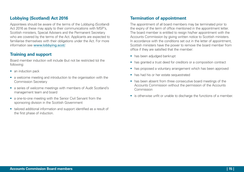#### **Lobbying (Scotland) Act 2016**

Appointees should be aware of the terms of the Lobbying (Scotland) Act 2016 as these may apply to their communications with MSP's, Scottish ministers, Special Advisers and the Permanent Secretary who are covered by the terms of the Act. Applicants are expected to familiarise themselves with their obligations under the Act. For more information see [www.lobbying.scot/](http://www.lobbying.scot/SPS?AspxAutoDetectCookieSupport=1).

#### **Training and support**

Board member induction will include (but not be restricted to) the following:

- an induction pack
- a welcome meeting and introduction to the organisation with the Commission Secretary
- a series of welcome meetings with members of Audit Scotland's management team and board
- a one-to-one meeting with the Senior Civil Servant from the sponsoring division in the Scottish Government
- tailored additional information and support identified as a result of the first phase of induction.

#### **Termination of appointment**

The appointment of all board members may be terminated prior to the expiry of the term of office mentioned in the appointment letter. The board member is entitled to resign his/her appointment with the Accounts Commission by giving written notice to Scottish ministers. In accordance with the conditions set out in the letter of appointment, Scottish ministers have the power to remove the board member from office if they are satisfied that the member:

- has been adjudged bankrupt
- has granted a trust deed for creditors or a composition contract
- has proposed a voluntary arrangement which has been approved
- has had his or her estate sequestrated
- has been absent from three consecutive board meetings of the Accounts Commission without the permission of the Accounts Commission
- is otherwise unfit or unable to discharge the functions of a member.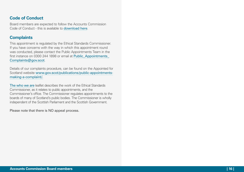#### **Code of Conduct**

Board members are expected to follow the Accounts Commission Code of Conduct - this is available to [download here](https://www.audit-scotland.gov.uk/about/docs/ac_code_conduct_2014.pdf).

#### **Complaints**

This appointment is regulated by the Ethical Standards Commissioner. If you have concerns with the way in which this appointment round was conducted, please contact the Public Appointments Team in the first instance on 0300 244 1898 or email at Public Appointments [Complaints@gov.scot](mailto:Public_Appointments_Complaints%40gov.scot?subject=).

Details of our complaints procedure, can be found on the Appointed for Scotland website [www.gov.scot/publications/public-appointments](http://www.gov.scot/publications/public-appointments-making-a-complaint/)[making-a-complaint/](http://www.gov.scot/publications/public-appointments-making-a-complaint/).

The [who we are](https://www.ethicalstandards.org.uk/about-us) leaflet describes the work of the Ethical Standards Commissioner, as it relates to public appointments, and the Commissioner's office. The Commissioner regulates appointments to the boards of many of Scotland's public bodies. The Commissioner is wholly independent of the Scottish Parliament and the Scottish Government.

Please note that there is NO appeal process.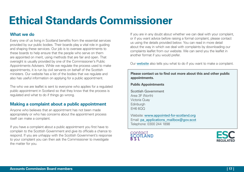## **Ethical Standards Commissioner**

#### **What we do**

Every one of us living in Scotland benefits from the essential services provided by our public bodies. Their boards play a vital role in guiding and shaping these services. Our job is to oversee appointments to these boards to help ensure that the people who serve on them are appointed on merit, using methods that are fair and open. That oversight is usually provided by one of the Commissioner's Public Appointments Advisers. While we regulate the process used to make appointments, it is run by civil servants on behalf of the Scottish ministers. Our website has a list of the bodies that we regulate and also has useful information on applying for a public appointment.

The who we are leaflet is sent to everyone who applies for a regulated public appointment in Scotland so that they know that the process is regulated and what to do if things go wrong.

#### **Making a complaint about a public appointment**

Anyone who believes that an appointment has not been made appropriately or who has concerns about the appointment process itself can make a complaint.

If you have a complaint about a public appointment you first have to complain to the Scottish Government and give its officials a chance to respond. If you are unhappy with the Scottish Government's response to your complaint you can then ask the Commissioner to investigate the matter for you.

If you are in any doubt about whether we can deal with your complaint, or if you want advice before raising a formal complaint, please contact us using the details provided below. You can read in more detail about the way in which we deal with complaints by downloading our complaints leaflet from our website. We can send you the leaflet in another format if you would prefer.

Our [website](https://www.ethicalstandards.) also tells you what to do if you want to make a complaint.

**Please contact us to find out more about this and other public appointments.**

**Public Appointments**

Scottish Government Area 3F (North) Victoria Quay **Edinburgh** EH6 6QQ

Website: [www.appointed-for-scotland.org](http://www.appointed-for-scotland.org) Email: [pa\\_applications\\_mailbox@gov.scot](mailto:pa_applications_mailbox@gov.scot) Telephone: 0300 244 1898